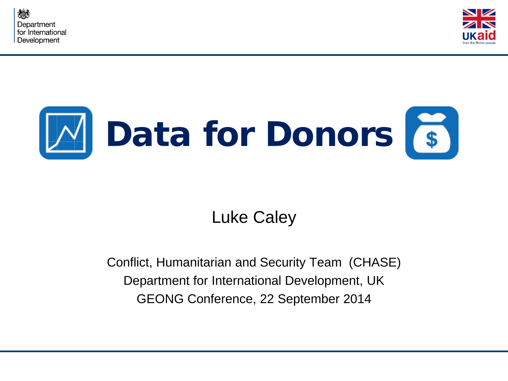





## Luke Caley

Conflict, Humanitarian and Security Team (CHASE) Department for International Development, UK GEONG Conference, 22 September 2014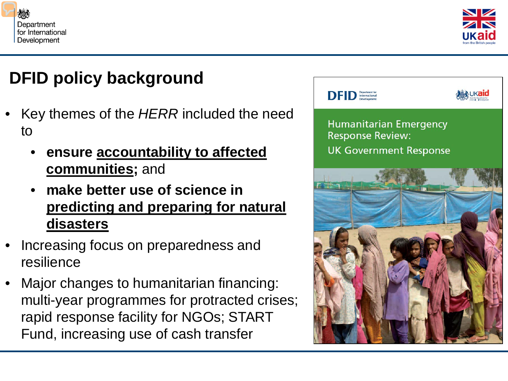



# **DFID policy background**

- Key themes of the *HERR* included the need to
	- **ensure accountability to affected communities;** and
	- **make better use of science in predicting and preparing for natural disasters**
- Increasing focus on preparedness and resilience
- Major changes to humanitarian financing: multi-year programmes for protracted crises; rapid response facility for NGOs; START Fund, increasing use of cash transfer

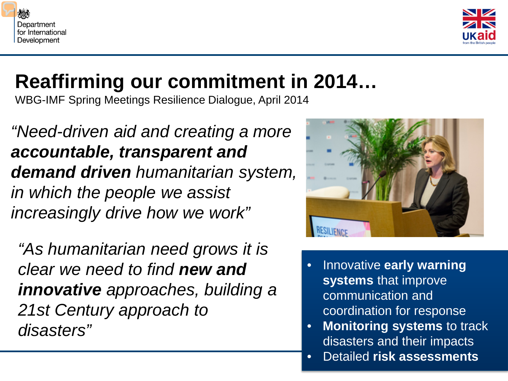



# **Reaffirming our commitment in 2014…**

WBG-IMF Spring Meetings Resilience Dialogue, April 2014

*"Need-driven aid and creating a more accountable, transparent and demand driven humanitarian system, in which the people we assist increasingly drive how we work"* 

*"As humanitarian need grows it is clear we need to find new and innovative approaches, building a 21st Century approach to disasters"* 



- Innovative **early warning systems** that improve communication and coordination for response
- **Monitoring systems** to track disasters and their impacts
- Detailed **risk assessments**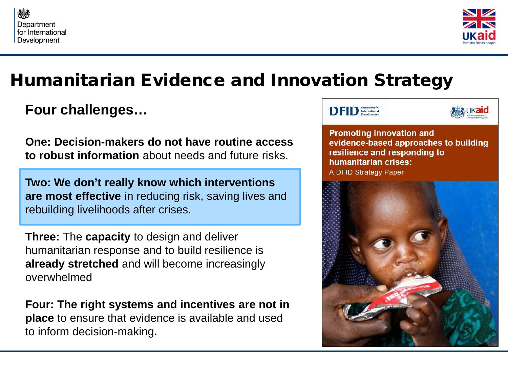



## Humanitarian Evidence and Innovation Strategy

### **Four challenges…**

**One: Decision-makers do not have routine access to robust information** about needs and future risks.

**Two: We don't really know which interventions are most effective** in reducing risk, saving lives and rebuilding livelihoods after crises.

**Three:** The **capacity** to design and deliver humanitarian response and to build resilience is **already stretched** and will become increasingly overwhelmed

**Four: The right systems and incentives are not in place** to ensure that evidence is available and used to inform decision-making**.**





**Promoting innovation and** evidence-based approaches to building resilience and responding to humanitarian crises: A DFID Strategy Paper

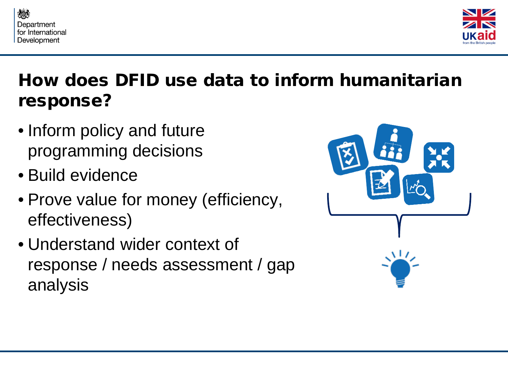



# How does DFID use data to inform humanitarian response?

- Inform policy and future programming decisions
- Build evidence
- Prove value for money (efficiency, effectiveness)
- Understand wider context of response / needs assessment / gap analysis

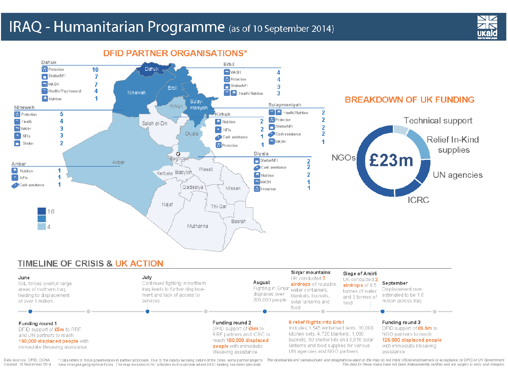### IRAQ - Humanitarian Programme (as of 10 September 2014)



**DFID PARTNER ORGANISATIONS\*** 



#### TIMELINE OF CRISIS & UK ACTION

| June<br>ISIL forces overrun large<br>areas of northern Iraq<br>leading to displacement<br>of over 1 million                                      | July<br>Continued fighting in northern<br>Iraq leads to further displace-<br>ment and lack of access to<br>services | August<br>displaces over<br>200,000 people                                                                                                                    | Sinjar mountains<br>UK conducted 7<br>airdrops of reusable<br>Fighting in Sinjar <sub>water containers,</sub><br>blankets, buckets,<br>solar lanterns and<br>food                                                                   | Siege of Amirli<br>UK conducted 2<br>airdrops of 8.5<br>tonnes of water<br>and 3 tonnes of<br>food | September<br>Displacement now<br>estimated to be 1.8<br>million across Iraq                                                                   |
|--------------------------------------------------------------------------------------------------------------------------------------------------|---------------------------------------------------------------------------------------------------------------------|---------------------------------------------------------------------------------------------------------------------------------------------------------------|-------------------------------------------------------------------------------------------------------------------------------------------------------------------------------------------------------------------------------------|----------------------------------------------------------------------------------------------------|-----------------------------------------------------------------------------------------------------------------------------------------------|
| Funding round 1<br>DFID support of $£5m$ to RRF.<br>and UN partners to reach<br>150,000 displaced people with<br>immediate lifesaving assistance |                                                                                                                     | Funding round 2<br>$DFID$ support of $£5m$ to<br>RRF partners and ICRC to<br>reach 100,000 displaced<br><b>people</b> with immediate<br>lifesaving assistance | 9 relief flights into Erbil<br>Includes 1,545 winterised tents, 10,008<br>kitchen sets, 4,720 blankets, 1,080<br>buckets, 90 shelter kits and 3,816 solar<br>lanterns and food supplies for various<br>UN agencies and NGO partners |                                                                                                    | Funding round 3<br>DFID support of $$6.5m$ to<br>NGO partners to reach<br>125,000 displaced people<br>with immediate lifesaving<br>assistance |

Data sources: DFID, OCHA Created: 10 September 2014 have changed geographical focus. The map excludes ICRC activities as it is unclear where DFID funding has been allocated.

\* Data refers to focus governorates in partner proposals. Due to the rapidly evolving nature of the crisis, some partner projects The boundaries and names shown and designations used on the map do not imply official endors The data for these maps have not been independently verified and are subject to error and omission.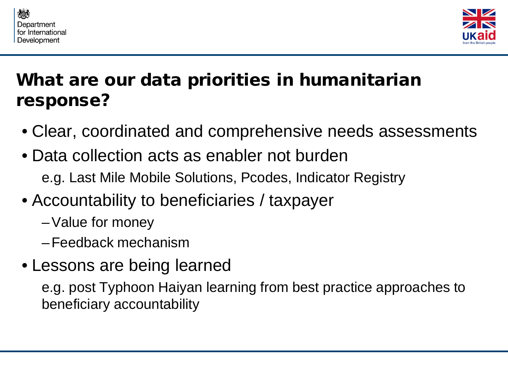



# What are our data priorities in humanitarian response?

- Clear, coordinated and comprehensive needs assessments
- Data collection acts as enabler not burden e.g. Last Mile Mobile Solutions, Pcodes, Indicator Registry
- Accountability to beneficiaries / taxpayer
	- –Value for money
	- –Feedback mechanism
- Lessons are being learned

e.g. post Typhoon Haiyan learning from best practice approaches to beneficiary accountability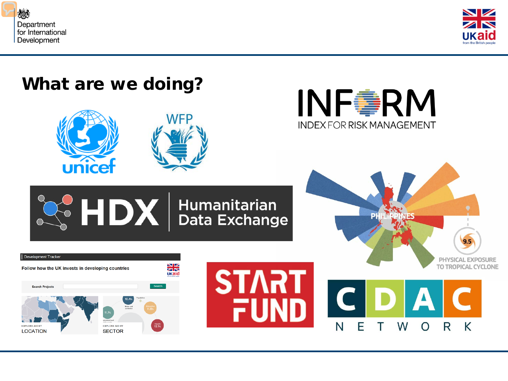



## What are we doing?







#### $\frac{1}{2}$  **HDX** Bata Exchange Development Tracker **PHYSICAL EXPOSURE SK** TO TROPICAL CYCLONE Follow how the UK invests in developing countries **START** UKaid Search **Search Projects** FUND F N W R K  $\overline{O}$ T **EXPLORE AID BY** EXPLORE AID BY  $12.1%$ **LOCATION SECTOR**